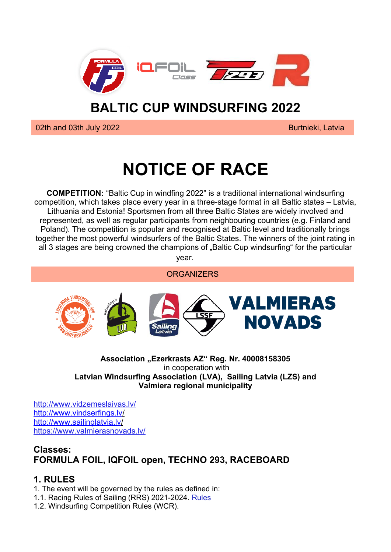

## **BALTIC CUP WINDSURFING 2022**

**1992 Burtnieki, Latvia** Burtnieki, Latvia Burtnieki, Latvia Burtnieki, Latvia Burtnieki, Latvia Burtnieki, Latvia<br>Experimente and the set of the set of the set of the set of the set of the set of the set of the set of the

# **NOTICE OF RACE**

**COMPETITION:** "Baltic Cup in windfing 2022" is a traditional international windsurfing competition, which takes place every year in a three-stage format in all Baltic states – Latvia, Lithuania and Estonia! Sportsmen from all three Baltic States are widely involved and represented, as well as regular participants from neighbouring countries (e.g. Finland and Poland). The competition is popular and recognised at Baltic level and traditionally brings together the most powerful windsurfers of the Baltic States. The winners of the joint rating in all 3 stages are being crowned the champions of "Baltic Cup windsurfing" for the particular vear.

**ORGANIZERS** 



#### **Association "Ezerkrasts AZ" Reg. Nr. 40008158305** in cooperation with **Latvian Windsurfing Association (LVA), Sailing Latvia (LZS) and Valmiera regional municipality**

<http://www.vidzemeslaivas.lv/>  [http://www.vindserfings.lv](http://www.vindserfings.lv/)/ [http://www.sailinglatvia.lv](http://www.sailinglatvia.lv/)/ <https://www.valmierasnovads.lv/>

## **Classes: FORMULA FOIL, IQFOIL open, TECHNO 293, RACEBOARD**

## **1. RULES**

1. The event will be governed by the rules as defined in:

1.1. Racing Rules of Sailing (RRS) 2021-2024. [Rules](https://www.sailing.org/tools/documents/WSRRS20212024FinalwithChgsandCorrecns201113-%5B26798%5D.pdf)

1.2. Windsurfing Competition Rules (WCR).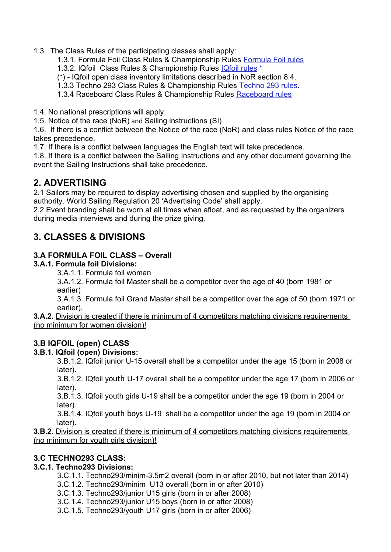1.3. The Class Rules of the participating classes shall apply:

1.3.1. Formula Foil Class Rules & Championship Rules [Formula Foil rules](https://d7qh6ksdplczd.cloudfront.net/sailing/wp-content/uploads/2022/02/04092228/IFWS_CR_20220201.pdf)

1.3.2. IQfoil Class Rules & Championship Rules [IQfoil rules](https://www.iqfoilclassofficial.org/_files/ugd/45680b_898db85c56a749c7b047fc950c26d7cf.pdf) \*

(\*) - IQfoil open class inventory limitations described in NoR section 8.4.

1.3.3 Techno 293 Class Rules & Championship Rules [Techno 293 rules](https://www.sailing.org/tools/documents/T2932012CR201112-%5B13928%5D.pdf).

1.3.4 Raceboard Class Rules & Championship Rules [Raceboard rules](https://www.sailing.org/tools/documents/RACCR20220101-%5B27820%5D.pdf)

1.4. No national prescriptions will apply.

1.5. Notice of the race (NoR) and Sailing instructions (SI)

1.6. If there is a conflict between the Notice of the race (NoR) and class rules Notice of the race takes precedence.

1.7. If there is a conflict between languages the English text will take precedence.

1.8. If there is a conflict between the Sailing Instructions and any other document governing the event the Sailing Instructions shall take precedence.

#### **2. ADVERTISING**

2.1 Sailors may be required to display advertising chosen and supplied by the organising authority. World Sailing Regulation 20 'Advertising Code' shall apply.

2.2 Event branding shall be worn at all times when afloat, and as requested by the organizers during media interviews and during the prize giving.

## **3. CLASSES & DIVISIONS**

#### **3.A FORMULA FOIL CLASS – Overall**

#### **3.A.1. Formula foil Divisions:**

3.A.1.1. Formula foil woman

3.A.1.2. Formula foil Master shall be a competitor over the age of 40 (born 1981 or earlier)

3.A.1.3. Formula foil Grand Master shall be a competitor over the age of 50 (born 1971 or earlier).

**3.A.2.** Division is created if there is minimum of 4 competitors matching divisions requirements (no minimum for women division)!

#### **3.B IQFOIL (open) CLASS**

#### **3.B.1. IQfoil (open) Divisions:**

3.B.1.2. IQfoil junior U-15 overall shall be a competitor under the age 15 (born in 2008 or later).

3.B.1.2. IQfoil youth U-17 overall shall be a competitor under the age 17 (born in 2006 or later).

3.B.1.3. IQfoil youth girls U-19 shall be a competitor under the age 19 (born in 2004 or later).

3.B.1.4. IQfoil youth boys U-19 shall be a competitor under the age 19 (born in 2004 or later).

**3.B.2.** Division is created if there is minimum of 4 competitors matching divisions requirements (no minimum for youth girls division)!

#### **3.C TECHNO293 CLASS:**

#### **3.C.1. Techno293 Divisions:**

- 3.C.1.1. Techno293/minim-3.5m2 overall (born in or after 2010, but not later than 2014)
- 3.C.1.2. Techno293/minim U13 overall (born in or after 2010)
- 3.C.1.3. Techno293/junior U15 girls (born in or after 2008)
- 3.C.1.4. Techno293/junior U15 boys (born in or after 2008)
- 3.C.1.5. Techno293/youth U17 girls (born in or after 2006)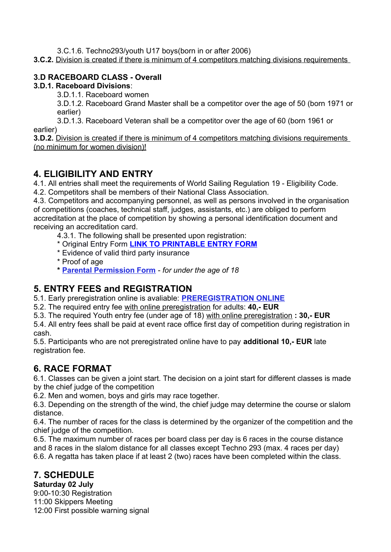3.C.1.6. Techno293/youth U17 boys(born in or after 2006)

**3.C.2.** Division is created if there is minimum of 4 competitors matching divisions requirements

#### **3.D RACEBOARD CLASS - Overall**

#### **3.D.1. Raceboard Divisions**:

3.D.1.1. Raceboard women

3.D.1.2. Raceboard Grand Master shall be a competitor over the age of 50 (born 1971 or earlier)

3.D.1.3. Raceboard Veteran shall be a competitor over the age of 60 (born 1961 or earlier)

**3.D.2.** Division is created if there is minimum of 4 competitors matching divisions requirements ( no minimum for women division)!

## **4. ELIGIBILITY AND ENTRY**

4.1. All entries shall meet the requirements of World Sailing Regulation 19 - Eligibility Code. 4.2. Competitors shall be members of their National Class Association.

4.3. Competitors and accompanying personnel, as well as persons involved in the organisation of competitions (coaches, technical staff, judges, assistants, etc.) are obliged to perform accreditation at the place of competition by showing a personal identification document and receiving an accreditation card.

4.3.1. The following shall be presented upon registration:

- \* Original Entry Form **[LINK TO PRINTABLE ENTRY FORM](https://docs.google.com/document/d/1sNlDO-OBsn0Cv8V_UO0nzHVmlKqB6XmQ4gCgVK23w-g/edit)**
- \* Evidence of valid third party insurance
- \* Proof of age
- **\* [Parental Permission Form](http://internationalwindsurfing.com/userfiles/documents/Parental_Permission_Form_Generic.pdf)** *for under the age of 18*

## **5. ENTRY FEES and REGISTRATION**

5.1. Early preregistration online is avaliable: **[PREREGISTRATION ONLINE](https://docs.google.com/forms/d/e/1FAIpQLSdQz_sgYzE2f-kQK2AbJB3NkZLafo-KN_0q8lz5-z3ke4E92g/viewform)**

- 5.2. The required entry fee with online preregistration for adults: **40,- EUR**
- 5.3. The required Youth entry fee (under age of 18) with online preregistration **: 30,- EUR**

5.4. All entry fees shall be paid at event race office first day of competition during registration in cash.

5.5. Participants who are not preregistrated online have to pay **additional 10,- EUR** late registration fee.

## **6. RACE FORMAT**

6.1. Classes can be given a joint start. The decision on a joint start for different classes is made by the chief judge of the competition

6.2. Men and women, boys and girls may race together.

6.3. Depending on the strength of the wind, the chief judge may determine the course or slalom distance.

6.4. The number of races for the class is determined by the organizer of the competition and the chief judge of the competition.

6.5. The maximum number of races per board class per day is 6 races in the course distance and 8 races in the slalom distance for all classes except Techno 293 (max. 4 races per day) 6.6. A regatta has taken place if at least 2 (two) races have been completed within the class.

## **7. SCHEDULE**

**Saturday 02 July**

9:00-10:30 Registration 11:00 Skippers Meeting 12:00 First possible warning signal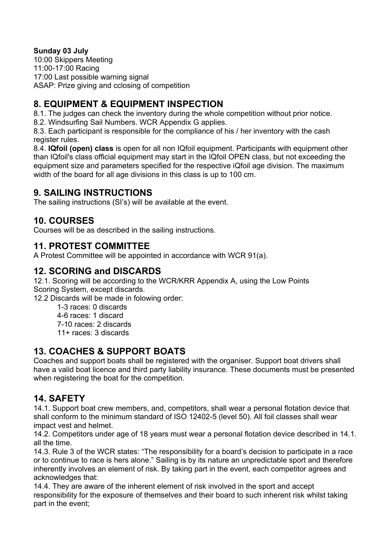#### **Sunday 03 July**

10:00 Skippers Meeting 11:00-17:00 Racing 17:00 Last possible warning signal ASAP: Prize giving and cclosing of competition

## **8. EQUIPMENT & EQUIPMENT INSPECTION**

8.1. The judges can check the inventory during the whole competition without prior notice.

8.2. Windsurfing Sail Numbers. WCR Appendix G applies.

8.3. Each participant is responsible for the compliance of his / her inventory with the cash register rules.

8.4. **IQfoil (open) class** is open for all non IQfoil equipment. Participants with equipment other than IQfoil's class official equipment may start in the IQfoil OPEN class, but not exceeding the equipment size and parameters specified for the respective iQfoil age division. The maximum width of the board for all age divisions in this class is up to 100 cm.

## **9. SAILING INSTRUCTIONS**

The sailing instructions (SI's) will be available at the event.

## **10. COURSES**

Courses will be as described in the sailing instructions.

## **11. PROTEST COMMITTEE**

A Protest Committee will be appointed in accordance with WCR 91(a).

## **12. SCORING and DISCARDS**

12.1. Scoring will be according to the WCR/KRR Appendix A, using the Low Points Scoring System, except discards.

12.2 Discards will be made in folowing order:

1-3 races: 0 discards

4-6 races: 1 discard

7-10 races: 2 discards

11+ races: 3 discards

## **13. COACHES & SUPPORT BOATS**

Coaches and support boats shall be registered with the organiser. Support boat drivers shall have a valid boat licence and third party liability insurance. These documents must be presented when registering the boat for the competition.

## **14. SAFETY**

14.1. Support boat crew members, and, competitors, shall wear a personal flotation device that shall conform to the minimum standard of ISO 12402-5 (level 50). All foil classes shall wear impact vest and helmet.

14.2. Competitors under age of 18 years must wear a personal flotation device described in 14.1. all the time.

14.3. Rule 3 of the WCR states: "The responsibility for a board's decision to participate in a race or to continue to race is hers alone." Sailing is by its nature an unpredictable sport and therefore inherently involves an element of risk. By taking part in the event, each competitor agrees and acknowledges that:

14.4. They are aware of the inherent element of risk involved in the sport and accept responsibility for the exposure of themselves and their board to such inherent risk whilst taking part in the event;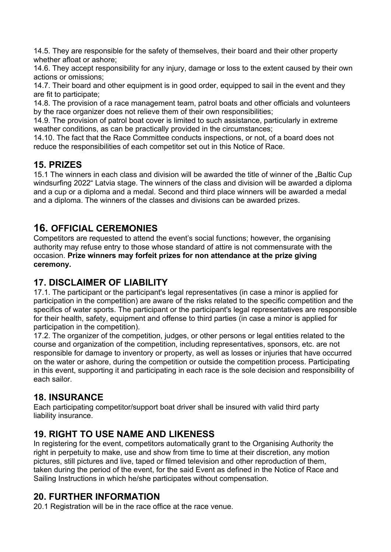14.5. They are responsible for the safety of themselves, their board and their other property whether afloat or ashore;

14.6. They accept responsibility for any injury, damage or loss to the extent caused by their own actions or omissions;

14.7. Their board and other equipment is in good order, equipped to sail in the event and they are fit to participate;

14.8. The provision of a race management team, patrol boats and other officials and volunteers by the race organizer does not relieve them of their own responsibilities;

14.9. The provision of patrol boat cover is limited to such assistance, particularly in extreme weather conditions, as can be practically provided in the circumstances;

14.10. The fact that the Race Committee conducts inspections, or not, of a board does not reduce the responsibilities of each competitor set out in this Notice of Race.

## **15. PRIZES**

15.1 The winners in each class and division will be awarded the title of winner of the "Baltic Cup windsurfing 2022" Latvia stage. The winners of the class and division will be awarded a diploma and a cup or a diploma and a medal. Second and third place winners will be awarded a medal and a diploma. The winners of the classes and divisions can be awarded prizes.

## **16. OFFICIAL CEREMONIES**

Competitors are requested to attend the event's social functions; however, the organising authority may refuse entry to those whose standard of attire is not commensurate with the occasion. **Prize winners may forfeit prizes for non attendance at the prize giving ceremony.**

## **17. DISCLAIMER OF LIABILITY**

17.1. The participant or the participant's legal representatives (in case a minor is applied for participation in the competition) are aware of the risks related to the specific competition and the specifics of water sports. The participant or the participant's legal representatives are responsible for their health, safety, equipment and offense to third parties (in case a minor is applied for participation in the competition).

17.2. The organizer of the competition, judges, or other persons or legal entities related to the course and organization of the competition, including representatives, sponsors, etc. are not responsible for damage to inventory or property, as well as losses or injuries that have occurred on the water or ashore, during the competition or outside the competition process. Participating in this event, supporting it and participating in each race is the sole decision and responsibility of each sailor.

## **18. INSURANCE**

Each participating competitor/support boat driver shall be insured with valid third party liability insurance.

## **19. RIGHT TO USE NAME AND LIKENESS**

In registering for the event, competitors automatically grant to the Organising Authority the right in perpetuity to make, use and show from time to time at their discretion, any motion pictures, still pictures and live, taped or filmed television and other reproduction of them, taken during the period of the event, for the said Event as defined in the Notice of Race and Sailing Instructions in which he/she participates without compensation.

## **20. FURTHER INFORMATION**

20.1 Registration will be in the race office at the race venue.